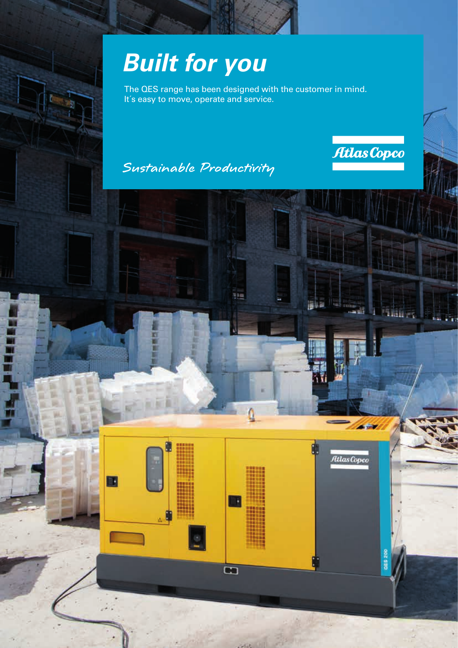## *Built for you*

The QES range has been designed with the customer in mind. It's easy to move, operate and service.

934

 $\overline{\mathbf{G}}$ 

## Sustainable Productivity

E



541

Ulas Copco

**DOZ SIR** 

**The Terminal**